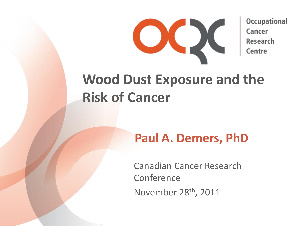

Occupational Cancer **Research** Centre

#### **Wood Dust Exposure and the Risk of Cancer**

#### **Paul A. Demers, PhD**

Canadian Cancer Research Conference November 28th, 2011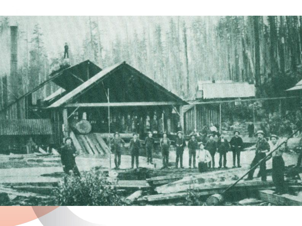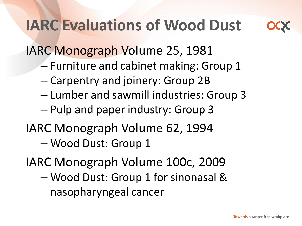### **IARC Evaluations of Wood Dust**



IARC Monograph Volume 25, 1981

- Furniture and cabinet making: Group 1
- Carpentry and joinery: Group 2B
- Lumber and sawmill industries: Group 3
- Pulp and paper industry: Group 3
- IARC Monograph Volume 62, 1994
	- Wood Dust: Group 1
- IARC Monograph Volume 100c, 2009
	- Wood Dust: Group 1 for sinonasal & nasopharyngeal cancer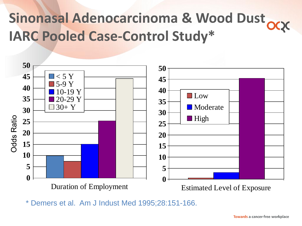### **Sinonasal Adenocarcinoma & Wood Dust IARC Pooled Case-Control Study\***



\* Demers et al. Am J Indust Med 1995;28:151-166.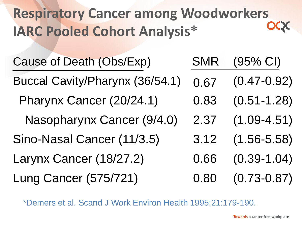#### **Respiratory Cancer among Woodworkers IARC Pooled Cohort Analysis\***

| Cause of Death (Obs/Exp)        | <b>SMR</b> | (95% CI)         |
|---------------------------------|------------|------------------|
| Buccal Cavity/Pharynx (36/54.1) | 0.67       | $(0.47 - 0.92)$  |
| Pharynx Cancer (20/24.1)        | 0.83       | $(0.51 - 1.28)$  |
| Nasopharynx Cancer (9/4.0)      | 2.37       | $(1.09 - 4.51)$  |
| Sino-Nasal Cancer (11/3.5)      |            | 3.12 (1.56-5.58) |
| Larynx Cancer (18/27.2)         | 0.66       | $(0.39 - 1.04)$  |
| <b>Lung Cancer (575/721)</b>    | 0.80       | $(0.73 - 0.87)$  |

\*Demers et al. Scand J Work Environ Health 1995;21:179-190.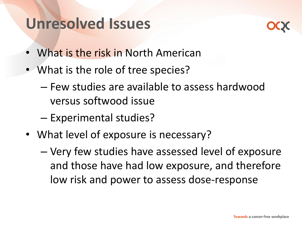#### **Unresolved Issues**



- What is the risk in North American
- What is the role of tree species?
	- Few studies are available to assess hardwood versus softwood issue
	- Experimental studies?
- What level of exposure is necessary?
	- Very few studies have assessed level of exposure and those have had low exposure, and therefore low risk and power to assess dose-response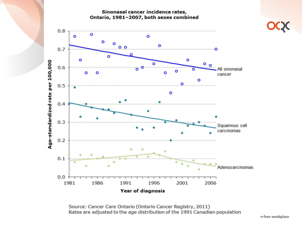#### Sinonasal cancer incidence rates, Ontario, 1981-2007, both sexes combined



Source: Cancer Care Ontario (Ontario Cancer Registry, 2011) Rates are adjusted to the age distribution of the 1991 Canadian population

er-free workplace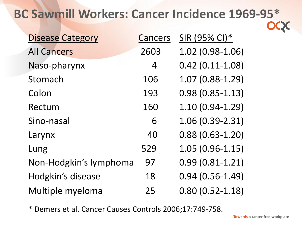#### **BC Sawmill Workers: Cancer Incidence 1969-95\***

| <b>Disease Category</b> | <b>Cancers</b> | SIR (95% CI)*       |
|-------------------------|----------------|---------------------|
| <b>All Cancers</b>      | 2603           | 1.02 (0.98-1.06)    |
| Naso-pharynx            | 4              | $0.42(0.11-1.08)$   |
| Stomach                 | 106            | $1.07(0.88-1.29)$   |
| Colon                   | 193            | $0.98(0.85 - 1.13)$ |
| Rectum                  | 160            | $1.10(0.94-1.29)$   |
| Sino-nasal              | 6              | $1.06(0.39-2.31)$   |
| Larynx                  | 40             | $0.88(0.63 - 1.20)$ |
| Lung                    | 529            | $1.05(0.96-1.15)$   |
| Non-Hodgkin's lymphoma  | 97             | $0.99(0.81 - 1.21)$ |
| Hodgkin's disease       | 18             | $0.94(0.56-1.49)$   |
| Multiple myeloma        | 25             | $0.80(0.52 - 1.18)$ |

\* Demers et al. Cancer Causes Controls 2006;17:749-758.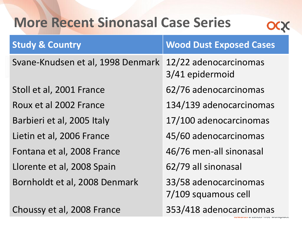#### **More Recent Sinonasal Case Series**



| <b>Study &amp; Country</b>        | <b>Wood Dust Exposed Cases</b>               |
|-----------------------------------|----------------------------------------------|
| Svane-Knudsen et al, 1998 Denmark | 12/22 adenocarcinomas<br>3/41 epidermoid     |
| Stoll et al, 2001 France          | 62/76 adenocarcinomas                        |
| Roux et al 2002 France            | 134/139 adenocarcinomas                      |
| Barbieri et al, 2005 Italy        | 17/100 adenocarcinomas                       |
| Lietin et al, 2006 France         | 45/60 adenocarcinomas                        |
| Fontana et al, 2008 France        | 46/76 men-all sinonasal                      |
| Llorente et al, 2008 Spain        | 62/79 all sinonasal                          |
| Bornholdt et al, 2008 Denmark     | 33/58 adenocarcinomas<br>7/109 squamous cell |
| Choussy et al, 2008 France        | 353/418 adenocarcinomas                      |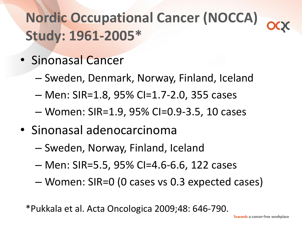### **Nordic Occupational Cancer (NOCCA) Study: 1961-2005\***

- Sinonasal Cancer
	- Sweden, Denmark, Norway, Finland, Iceland
	- Men: SIR=1.8, 95% CI=1.7-2.0, 355 cases
	- Women: SIR=1.9, 95% CI=0.9-3.5, 10 cases
- Sinonasal adenocarcinoma
	- Sweden, Norway, Finland, Iceland
	- Men: SIR=5.5, 95% CI=4.6-6.6, 122 cases
	- Women: SIR=0 (0 cases vs 0.3 expected cases)

\*Pukkala et al. Acta Oncologica 2009;48: 646-790.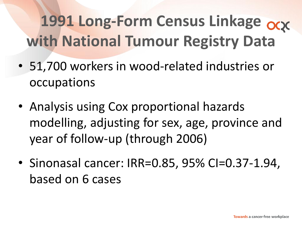### **1991 Long-Form Census Linkage with National Tumour Registry Data**

- 51,700 workers in wood-related industries or occupations
- Analysis using Cox proportional hazards modelling, adjusting for sex, age, province and year of follow-up (through 2006)
- Sinonasal cancer: IRR=0.85, 95% CI=0.37-1.94, based on 6 cases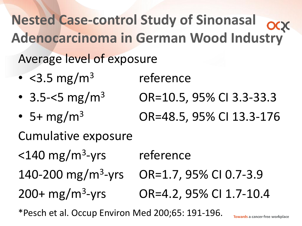**Nested Case-control Study of Sinonasal Adenocarcinoma in German Wood Industry** Average level of exposure

- $<$ 3.5 mg/m<sup>3</sup> reference
- 3.5- $5 \text{ mg/m}^3$  OR=10.5, 95% CI 3.3-33.3
- 5+ mg/m<sup>3</sup> OR=48.5, 95% CI 13.3-176

Cumulative exposure

- $<$ 140 mg/m<sup>3</sup>-yrs reference
- 140-200 mg/m<sup>3</sup>-yrs OR=1.7, 95% CI 0.7-3.9
- $200+$  mg/m<sup>3</sup>-yrs OR=4.2, 95% CI 1.7-10.4

\*Pesch et al. Occup Environ Med 200;65: 191-196.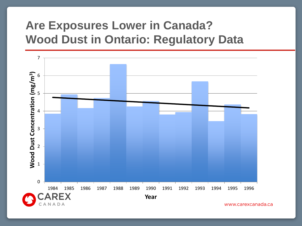#### **Are Exposures Lower in Canada? Wood Dust in Ontario: Regulatory Data**

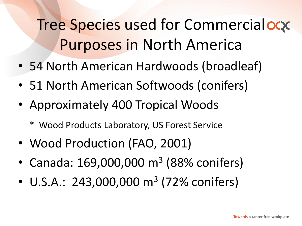Tree Species used for Commercial ocx Purposes in North America

- 54 North American Hardwoods (broadleaf)
- 51 North American Softwoods (conifers)
- Approximately 400 Tropical Woods
	- \* Wood Products Laboratory, US Forest Service
- Wood Production (FAO, 2001)
- Canada:  $169,000,000 \text{ m}^3$  (88% conifers)
- $\cdot$  U.S.A.: 243,000,000 m<sup>3</sup> (72% conifers)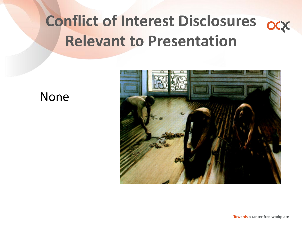## **Conflict of Interest Disclosures** ocx **Relevant to Presentation**

#### None